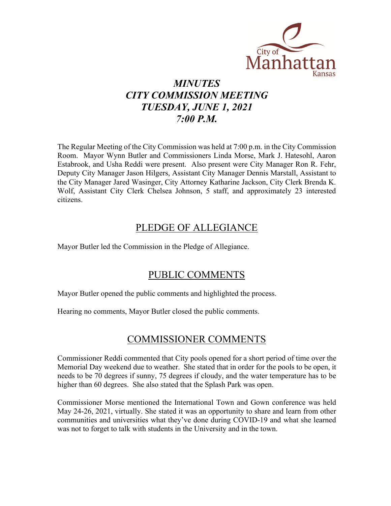

# *MINUTES CITY COMMISSION MEETING TUESDAY, JUNE 1, 2021 7:00 P.M.*

The Regular Meeting of the City Commission was held at 7:00 p.m. in the City Commission Room. Mayor Wynn Butler and Commissioners Linda Morse, Mark J. Hatesohl, Aaron Estabrook, and Usha Reddi were present. Also present were City Manager Ron R. Fehr, Deputy City Manager Jason Hilgers, Assistant City Manager Dennis Marstall, Assistant to the City Manager Jared Wasinger, City Attorney Katharine Jackson, City Clerk Brenda K. Wolf, Assistant City Clerk Chelsea Johnson, 5 staff, and approximately 23 interested citizens.

# PLEDGE OF ALLEGIANCE

Mayor Butler led the Commission in the Pledge of Allegiance.

# PUBLIC COMMENTS

Mayor Butler opened the public comments and highlighted the process.

Hearing no comments, Mayor Butler closed the public comments.

# COMMISSIONER COMMENTS

Commissioner Reddi commented that City pools opened for a short period of time over the Memorial Day weekend due to weather. She stated that in order for the pools to be open, it needs to be 70 degrees if sunny, 75 degrees if cloudy, and the water temperature has to be higher than 60 degrees. She also stated that the Splash Park was open.

Commissioner Morse mentioned the International Town and Gown conference was held May 24-26, 2021, virtually. She stated it was an opportunity to share and learn from other communities and universities what they've done during COVID-19 and what she learned was not to forget to talk with students in the University and in the town.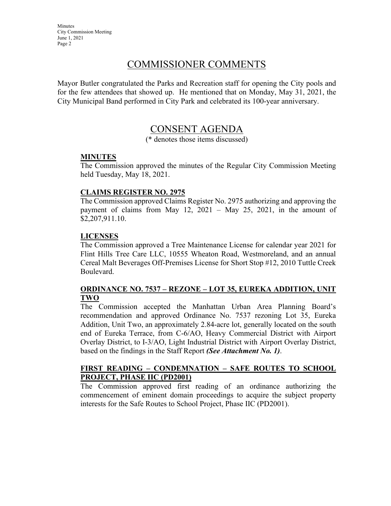# COMMISSIONER COMMENTS

Mayor Butler congratulated the Parks and Recreation staff for opening the City pools and for the few attendees that showed up. He mentioned that on Monday, May 31, 2021, the City Municipal Band performed in City Park and celebrated its 100-year anniversary.

# CONSENT AGENDA

(\* denotes those items discussed)

## **MINUTES**

The Commission approved the minutes of the Regular City Commission Meeting held Tuesday, May 18, 2021.

## **CLAIMS REGISTER NO. 2975**

The Commission approved Claims Register No. 2975 authorizing and approving the payment of claims from May 12, 2021 – May 25, 2021, in the amount of \$2,207,911.10.

# **LICENSES**

The Commission approved a Tree Maintenance License for calendar year 2021 for Flint Hills Tree Care LLC, 10555 Wheaton Road, Westmoreland, and an annual Cereal Malt Beverages Off-Premises License for Short Stop #12, 2010 Tuttle Creek Boulevard.

## **ORDINANCE NO. 7537 – REZONE – LOT 35, EUREKA ADDITION, UNIT TWO**

The Commission accepted the Manhattan Urban Area Planning Board's recommendation and approved Ordinance No. 7537 rezoning Lot 35, Eureka Addition, Unit Two, an approximately 2.84-acre lot, generally located on the south end of Eureka Terrace, from C-6/AO, Heavy Commercial District with Airport Overlay District, to I-3/AO, Light Industrial District with Airport Overlay District, based on the findings in the Staff Report *(See Attachment No. 1)*.

## **FIRST READING – CONDEMNATION – SAFE ROUTES TO SCHOOL PROJECT, PHASE IIC (PD2001)**

The Commission approved first reading of an ordinance authorizing the commencement of eminent domain proceedings to acquire the subject property interests for the Safe Routes to School Project, Phase IIC (PD2001).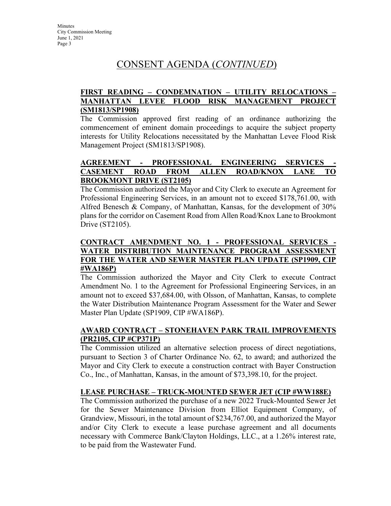# CONSENT AGENDA (*CONTINUED*)

# **FIRST READING – CONDEMNATION – UTILITY RELOCATIONS – MANHATTAN LEVEE FLOOD RISK MANAGEMENT PROJECT (SM1813/SP1908)**

The Commission approved first reading of an ordinance authorizing the commencement of eminent domain proceedings to acquire the subject property interests for Utility Relocations necessitated by the Manhattan Levee Flood Risk Management Project (SM1813/SP1908).

## **AGREEMENT - PROFESSIONAL ENGINEERING SERVICES - CASEMENT ROAD FROM ALLEN ROAD/KNOX LANE TO BROOKMONT DRIVE (ST2105)**

The Commission authorized the Mayor and City Clerk to execute an Agreement for Professional Engineering Services, in an amount not to exceed \$178,761.00, with Alfred Benesch & Company, of Manhattan, Kansas, for the development of 30% plans for the corridor on Casement Road from Allen Road/Knox Lane to Brookmont Drive (ST2105).

## **CONTRACT AMENDMENT NO. 1 - PROFESSIONAL SERVICES - WATER DISTRIBUTION MAINTENANCE PROGRAM ASSESSMENT FOR THE WATER AND SEWER MASTER PLAN UPDATE (SP1909, CIP #WA186P)**

The Commission authorized the Mayor and City Clerk to execute Contract Amendment No. 1 to the Agreement for Professional Engineering Services, in an amount not to exceed \$37,684.00, with Olsson, of Manhattan, Kansas, to complete the Water Distribution Maintenance Program Assessment for the Water and Sewer Master Plan Update (SP1909, CIP #WA186P).

# **AWARD CONTRACT – STONEHAVEN PARK TRAIL IMPROVEMENTS (PR2105, CIP #CP371P)**

The Commission utilized an alternative selection process of direct negotiations, pursuant to Section 3 of Charter Ordinance No. 62, to award; and authorized the Mayor and City Clerk to execute a construction contract with Bayer Construction Co., Inc., of Manhattan, Kansas, in the amount of \$73,398.10, for the project.

# **LEASE PURCHASE – TRUCK-MOUNTED SEWER JET (CIP #WW188E)**

The Commission authorized the purchase of a new 2022 Truck-Mounted Sewer Jet for the Sewer Maintenance Division from Elliot Equipment Company, of Grandview, Missouri, in the total amount of \$234,767.00, and authorized the Mayor and/or City Clerk to execute a lease purchase agreement and all documents necessary with Commerce Bank/Clayton Holdings, LLC., at a 1.26% interest rate, to be paid from the Wastewater Fund.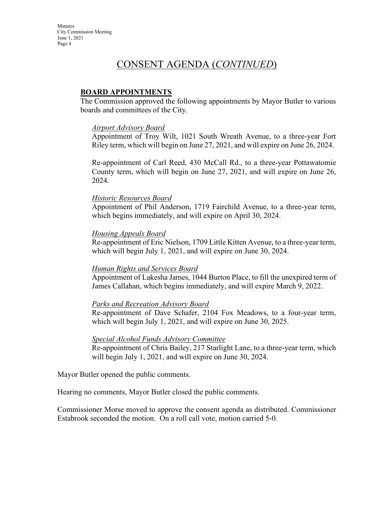# CONSENT AGENDA (*CONTINUED*)

## **BOARD APPOINTMENTS**

The Commission approved the following appointments by Mayor Butler to various boards and committees of the City.

#### *Airport Advisory Board*

Appointment of Troy Wilt, 1021 South Wreath Avenue, to a three-year Fort Riley term, which will begin on June 27, 2021, and will expire on June 26, 2024.

Re-appointment of Carl Reed, 430 McCall Rd., to a three-year Pottawatomie County term, which will begin on June 27, 2021, and will expire on June 26, 2024.

#### *Historic Resources Board*

Appointment of Phil Anderson, 1719 Fairchild Avenue, to a three-year term, which begins immediately, and will expire on April 30, 2024.

#### *Housing Appeals Board*

Re-appointment of Eric Nielson, 1709 Little Kitten Avenue, to a three-year term, which will begin July 1, 2021, and will expire on June 30, 2024.

#### *Human Rights and Services Board*

Appointment of Lakesha James, 1044 Burton Place, to fill the unexpired term of James Callahan, which begins immediately, and will expire March 9, 2022.

#### *Parks and Recreation Advisory Board*

Re-appointment of Dave Schafer, 2104 Fox Meadows, to a four-year term, which will begin July 1, 2021, and will expire on June 30, 2025.

#### *Special Alcohol Funds Advisory Committee*

Re-appointment of Chris Bailey, 217 Starlight Lane, to a three-year term, which will begin July 1, 2021, and will expire on June 30, 2024.

Mayor Butler opened the public comments.

Hearing no comments, Mayor Butler closed the public comments.

Commissioner Morse moved to approve the consent agenda as distributed. Commissioner Estabrook seconded the motion. On a roll call vote, motion carried 5-0.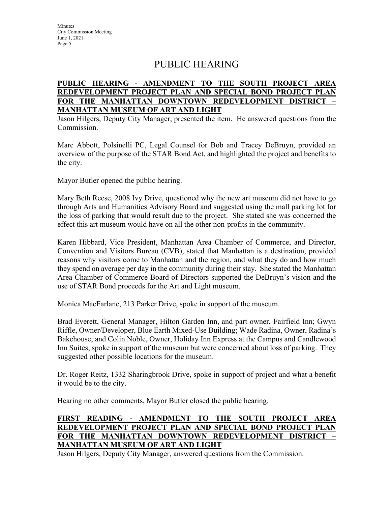# PUBLIC HEARING

# **PUBLIC HEARING - AMENDMENT TO THE SOUTH PROJECT AREA REDEVELOPMENT PROJECT PLAN AND SPECIAL BOND PROJECT PLAN FOR THE MANHATTAN DOWNTOWN REDEVELOPMENT DISTRICT – MANHATTAN MUSEUM OF ART AND LIGHT**

Jason Hilgers, Deputy City Manager, presented the item. He answered questions from the Commission.

Marc Abbott, Polsinelli PC, Legal Counsel for Bob and Tracey DeBruyn, provided an overview of the purpose of the STAR Bond Act, and highlighted the project and benefits to the city.

Mayor Butler opened the public hearing.

Mary Beth Reese, 2008 Ivy Drive, questioned why the new art museum did not have to go through Arts and Humanities Advisory Board and suggested using the mall parking lot for the loss of parking that would result due to the project. She stated she was concerned the effect this art museum would have on all the other non-profits in the community.

Karen Hibbard, Vice President, Manhattan Area Chamber of Commerce, and Director, Convention and Visitors Bureau (CVB), stated that Manhattan is a destination, provided reasons why visitors come to Manhattan and the region, and what they do and how much they spend on average per day in the community during their stay. She stated the Manhattan Area Chamber of Commerce Board of Directors supported the DeBruyn's vision and the use of STAR Bond proceeds for the Art and Light museum.

Monica MacFarlane, 213 Parker Drive, spoke in support of the museum.

Brad Everett, General Manager, Hilton Garden Inn, and part owner, Fairfield Inn; Gwyn Riffle, Owner/Developer, Blue Earth Mixed-Use Building; Wade Radina, Owner, Radina's Bakehouse; and Colin Noble, Owner, Holiday Inn Express at the Campus and Candlewood Inn Suites; spoke in support of the museum but were concerned about loss of parking. They suggested other possible locations for the museum.

Dr. Roger Reitz, 1332 Sharingbrook Drive, spoke in support of project and what a benefit it would be to the city.

Hearing no other comments, Mayor Butler closed the public hearing.

# **FIRST READING - AMENDMENT TO THE SOUTH PROJECT AREA REDEVELOPMENT PROJECT PLAN AND SPECIAL BOND PROJECT PLAN FOR THE MANHATTAN DOWNTOWN REDEVELOPMENT DISTRICT – MANHATTAN MUSEUM OF ART AND LIGHT**

Jason Hilgers, Deputy City Manager, answered questions from the Commission.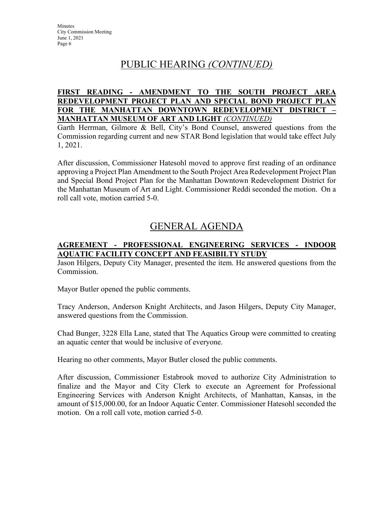# PUBLIC HEARING *(CONTINUED)*

## **FIRST READING - AMENDMENT TO THE SOUTH PROJECT AREA REDEVELOPMENT PROJECT PLAN AND SPECIAL BOND PROJECT PLAN FOR THE MANHATTAN DOWNTOWN REDEVELOPMENT DISTRICT – MANHATTAN MUSEUM OF ART AND LIGHT** *(CONTINUED)*

Garth Herrman, Gilmore & Bell, City's Bond Counsel, answered questions from the Commission regarding current and new STAR Bond legislation that would take effect July 1, 2021.

After discussion, Commissioner Hatesohl moved to approve first reading of an ordinance approving a Project Plan Amendment to the South Project Area Redevelopment Project Plan and Special Bond Project Plan for the Manhattan Downtown Redevelopment District for the Manhattan Museum of Art and Light. Commissioner Reddi seconded the motion. On a roll call vote, motion carried 5-0.

# GENERAL AGENDA

# **AGREEMENT - PROFESSIONAL ENGINEERING SERVICES - INDOOR AQUATIC FACILITY CONCEPT AND FEASIBILTY STUDY**

Jason Hilgers, Deputy City Manager, presented the item. He answered questions from the Commission.

Mayor Butler opened the public comments.

Tracy Anderson, Anderson Knight Architects, and Jason Hilgers, Deputy City Manager, answered questions from the Commission.

Chad Bunger, 3228 Ella Lane, stated that The Aquatics Group were committed to creating an aquatic center that would be inclusive of everyone.

Hearing no other comments, Mayor Butler closed the public comments.

After discussion, Commissioner Estabrook moved to authorize City Administration to finalize and the Mayor and City Clerk to execute an Agreement for Professional Engineering Services with Anderson Knight Architects, of Manhattan, Kansas, in the amount of \$15,000.00, for an Indoor Aquatic Center. Commissioner Hatesohl seconded the motion. On a roll call vote, motion carried 5-0.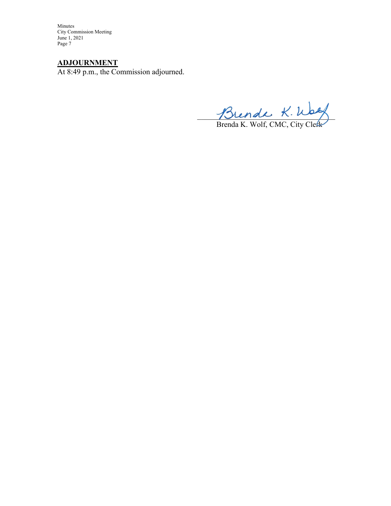# **ADJOURNMENT**

At 8:49 p.m., the Commission adjourned.

Thenal  $n.\omega$ 

Brenda K. Wolf, CMC, City Cletk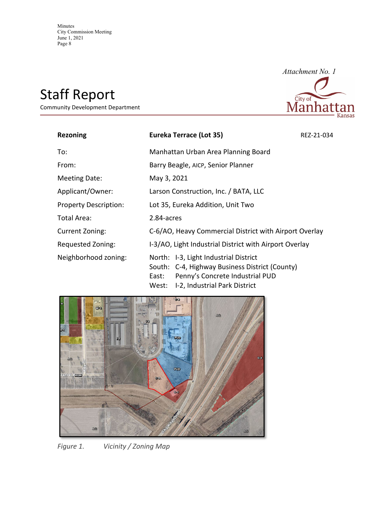# Staff Report

Community Development Department



| <b>Rezoning</b>              | Eureka Terrace (Lot 35)                                                                                                                                                       | REZ-21-034 |
|------------------------------|-------------------------------------------------------------------------------------------------------------------------------------------------------------------------------|------------|
| To:                          | Manhattan Urban Area Planning Board                                                                                                                                           |            |
| From:                        | Barry Beagle, AICP, Senior Planner                                                                                                                                            |            |
| Meeting Date:                | May 3, 2021                                                                                                                                                                   |            |
| Applicant/Owner:             | Larson Construction, Inc. / BATA, LLC                                                                                                                                         |            |
| <b>Property Description:</b> | Lot 35, Eureka Addition, Unit Two                                                                                                                                             |            |
| Total Area:                  | 2.84-acres                                                                                                                                                                    |            |
| Current Zoning:              | C-6/AO, Heavy Commercial District with Airport Overlay                                                                                                                        |            |
| Requested Zoning:            | I-3/AO, Light Industrial District with Airport Overlay                                                                                                                        |            |
| Neighborhood zoning:         | North: I-3, Light Industrial District<br>South: C-4, Highway Business District (County)<br>Penny's Concrete Industrial PUD<br>East:<br>I-2, Industrial Park District<br>West: |            |



*Figure 1. Vicinity / Zoning Map*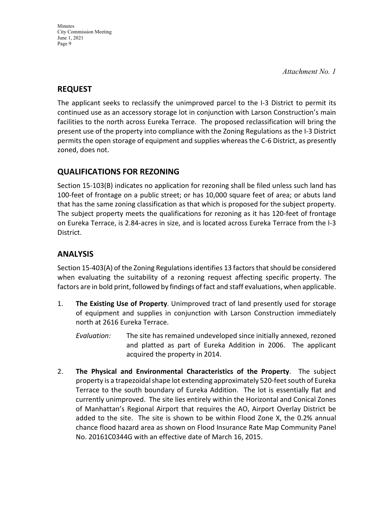# **REQUEST**

The applicant seeks to reclassify the unimproved parcel to the I-3 District to permit its continued use as an accessory storage lot in conjunction with Larson Construction's main facilities to the north across Eureka Terrace. The proposed reclassification will bring the present use of the property into compliance with the Zoning Regulations as the I-3 District permits the open storage of equipment and supplies whereas the C-6 District, as presently zoned, does not.

# **QUALIFICATIONS FOR REZONING**

Section 15-103(B) indicates no application for rezoning shall be filed unless such land has 100-feet of frontage on a public street; or has 10,000 square feet of area; or abuts land that has the same zoning classification as that which is proposed for the subject property. The subject property meets the qualifications for rezoning as it has 120-feet of frontage on Eureka Terrace, is 2.84-acres in size, and is located across Eureka Terrace from the I-3 District.

# **ANALYSIS**

Section 15-403(A) of the Zoning Regulations identifies 13 factors that should be considered when evaluating the suitability of a rezoning request affecting specific property. The factors are in bold print, followed by findings of fact and staff evaluations, when applicable.

- 1. **The Existing Use of Property**. Unimproved tract of land presently used for storage of equipment and supplies in conjunction with Larson Construction immediately north at 2616 Eureka Terrace.
	- *Evaluation:* The site has remained undeveloped since initially annexed, rezoned and platted as part of Eureka Addition in 2006. The applicant acquired the property in 2014.
- 2. **The Physical and Environmental Characteristics of the Property**. The subject property is a trapezoidal shape lot extending approximately 520-feet south of Eureka Terrace to the south boundary of Eureka Addition. The lot is essentially flat and currently unimproved. The site lies entirely within the Horizontal and Conical Zones of Manhattan's Regional Airport that requires the AO, Airport Overlay District be added to the site. The site is shown to be within Flood Zone X, the 0.2% annual chance flood hazard area as shown on Flood Insurance Rate Map Community Panel No. 20161C0344G with an effective date of March 16, 2015.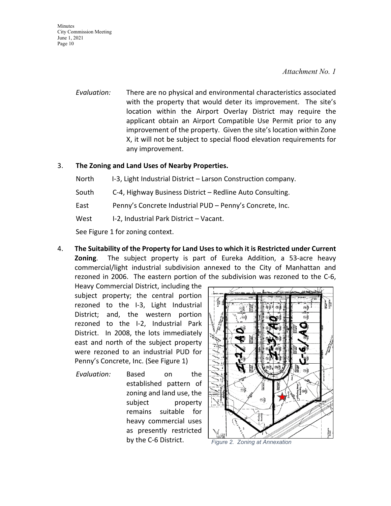#### *Attachment No. 1*

*Evaluation:* There are no physical and environmental characteristics associated with the property that would deter its improvement. The site's location within the Airport Overlay District may require the applicant obtain an Airport Compatible Use Permit prior to any improvement of the property. Given the site's location within Zone X, it will not be subject to special flood elevation requirements for any improvement.

## 3. **The Zoning and Land Uses of Nearby Properties.**

North I-3, Light Industrial District – Larson Construction company.

- South C-4, Highway Business District Redline Auto Consulting.
- East Penny's Concrete Industrial PUD Penny's Concrete, Inc.
- West I-2, Industrial Park District Vacant.

See Figure 1 for zoning context.

4. **The Suitability of the Property for Land Uses to which it is Restricted under Current Zoning**. The subject property is part of Eureka Addition, a 53-acre heavy commercial/light industrial subdivision annexed to the City of Manhattan and rezoned in 2006. The eastern portion of the subdivision was rezoned to the C-6,

Heavy Commercial District, including the subject property; the central portion rezoned to the I-3, Light Industrial District; and, the western portion rezoned to the I-2, Industrial Park District. In 2008, the lots immediately east and north of the subject property were rezoned to an industrial PUD for Penny's Concrete, Inc. (See Figure 1)

*Evaluation:* Based on the established pattern of zoning and land use, the subject property remains suitable for heavy commercial uses as presently restricted by the C-6 District. *Figure 2. Zoning at Annexation*

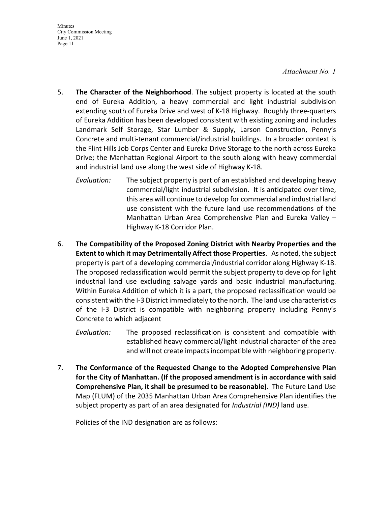#### *Attachment No. 1*

- 5. **The Character of the Neighborhood**. The subject property is located at the south end of Eureka Addition, a heavy commercial and light industrial subdivision extending south of Eureka Drive and west of K-18 Highway. Roughly three-quarters of Eureka Addition has been developed consistent with existing zoning and includes Landmark Self Storage, Star Lumber & Supply, Larson Construction, Penny's Concrete and multi-tenant commercial/industrial buildings. In a broader context is the Flint Hills Job Corps Center and Eureka Drive Storage to the north across Eureka Drive; the Manhattan Regional Airport to the south along with heavy commercial and industrial land use along the west side of Highway K-18.
	- *Evaluation:* The subject property is part of an established and developing heavy commercial/light industrial subdivision. It is anticipated over time, this area will continue to develop for commercial and industrial land use consistent with the future land use recommendations of the Manhattan Urban Area Comprehensive Plan and Eureka Valley – Highway K-18 Corridor Plan.
- 6. **The Compatibility of the Proposed Zoning District with Nearby Properties and the Extent to which it may Detrimentally Affect those Properties**. As noted, the subject property is part of a developing commercial/industrial corridor along Highway K-18. The proposed reclassification would permit the subject property to develop for light industrial land use excluding salvage yards and basic industrial manufacturing. Within Eureka Addition of which it is a part, the proposed reclassification would be consistent with the I-3 District immediately to the north. The land use characteristics of the I-3 District is compatible with neighboring property including Penny's Concrete to which adjacent
	- *Evaluation:* The proposed reclassification is consistent and compatible with established heavy commercial/light industrial character of the area and will not create impacts incompatible with neighboring property.
- 7. **The Conformance of the Requested Change to the Adopted Comprehensive Plan for the City of Manhattan. (If the proposed amendment is in accordance with said Comprehensive Plan, it shall be presumed to be reasonable)**. The Future Land Use Map (FLUM) of the 2035 Manhattan Urban Area Comprehensive Plan identifies the subject property as part of an area designated for *Industrial (IND)* land use.

Policies of the IND designation are as follows: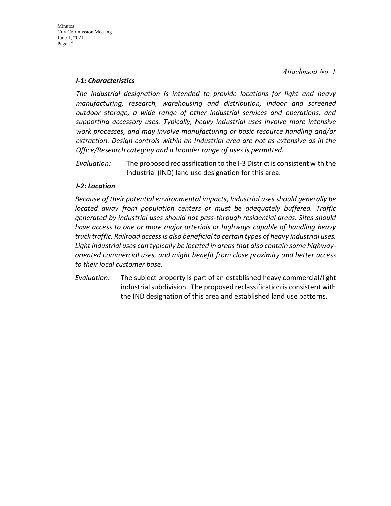#### *I-1: Characteristics*

*The Industrial designation is intended to provide locations for light and heavy manufacturing, research, warehousing and distribution, indoor and screened outdoor storage, a wide range of other industrial services and operations, and supporting accessory uses. Typically, heavy industrial uses involve more intensive work processes, and may involve manufacturing or basic resource handling and/or extraction. Design controls within an Industrial area are not as extensive as in the Office/Research category and a broader range of uses is permitted.*

*Evaluation:* The proposed reclassification to the I-3 District is consistent with the Industrial (IND) land use designation for this area.

## *I-2: Location*

*Because of their potential environmental impacts, Industrial uses should generally be located away from population centers or must be adequately buffered. Traffic generated by industrial uses should not pass-through residential areas. Sites should have access to one or more major arterials or highways capable of handling heavy truck traffic. Railroad access is also beneficial to certain types of heavy industrial uses. Light industrial uses can typically be located in areas that also contain some highwayoriented commercial uses, and might benefit from close proximity and better access to their local customer base.*

*Evaluation:* The subject property is part of an established heavy commercial/light industrial subdivision. The proposed reclassification is consistent with the IND designation of this area and established land use patterns.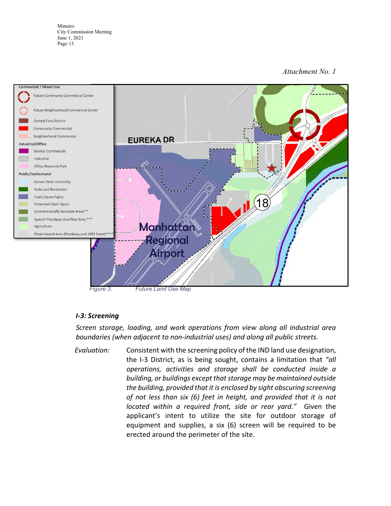### *Attachment No. 1*



#### *I-3: Screening*

*Screen storage, loading, and work operations from view along all industrial area boundaries (when adjacent to non-industrial uses) and along all public streets.*

*Evaluation:* Consistent with the screening policy of the IND land use designation, the I-3 District, as is being sought, contains a limitation that *"all operations, activities and storage shall be conducted inside a building, or buildings except that storage may be maintained outside the building, provided that it is enclosed by sight obscuring screening of not less than six (6) feet in height, and provided that it is not located within a required front, side or rear yard."* Given the applicant's intent to utilize the site for outdoor storage of equipment and supplies, a six (6) screen will be required to be erected around the perimeter of the site.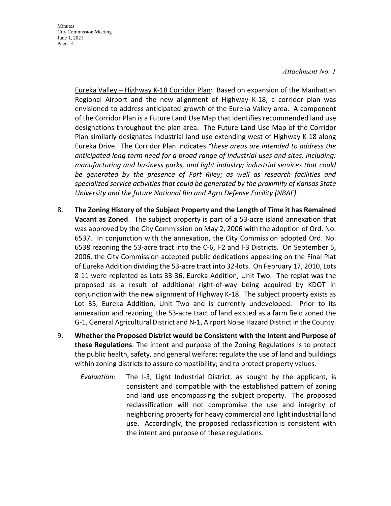#### *Attachment No. 1*

Eureka Valley – Highway K-18 Corridor Plan: Based on expansion of the Manhattan Regional Airport and the new alignment of Highway K-18, a corridor plan was envisioned to address anticipated growth of the Eureka Valley area. A component of the Corridor Plan is a Future Land Use Map that identifies recommended land use designations throughout the plan area. The Future Land Use Map of the Corridor Plan similarly designates Industrial land use extending west of Highway K-18 along Eureka Drive. The Corridor Plan indicates *"these areas are intended to address the anticipated long term need for a broad range of industrial uses and sites, including: manufacturing and business parks, and light industry; industrial services that could be generated by the presence of Fort Riley; as well as research facilities and specialized service activities that could be generated by the proximity of Kansas State University and the future National Bio and Agro Defense Facility (NBAF).*

- 8. **The Zoning History of the Subject Property and the Length of Time it has Remained Vacant as Zoned**. The subject property is part of a 53-acre island annexation that was approved by the City Commission on May 2, 2006 with the adoption of Ord. No. 6537. In conjunction with the annexation, the City Commission adopted Ord. No. 6538 rezoning the 53-acre tract into the C-6, I-2 and I-3 Districts. On September 5, 2006, the City Commission accepted public dedications appearing on the Final Plat of Eureka Addition dividing the 53-acre tract into 32-lots. On February 17, 2010, Lots 8-11 were replatted as Lots 33-36, Eureka Addition, Unit Two. The replat was the proposed as a result of additional right-of-way being acquired by KDOT in conjunction with the new alignment of Highway K-18. The subject property exists as Lot 35, Eureka Addition, Unit Two and is currently undeveloped. Prior to its annexation and rezoning, the 53-acre tract of land existed as a farm field zoned the G-1, General Agricultural District and N-1, Airport Noise Hazard District in the County.
- 9. **Whether the Proposed District would be Consistent with the Intent and Purpose of these Regulations**. The intent and purpose of the Zoning Regulations is to protect the public health, safety, and general welfare; regulate the use of land and buildings within zoning districts to assure compatibility; and to protect property values.
	- *Evaluation:* The I-3, Light Industrial District, as sought by the applicant, is consistent and compatible with the established pattern of zoning and land use encompassing the subject property. The proposed reclassification will not compromise the use and integrity of neighboring property for heavy commercial and light industrial land use. Accordingly, the proposed reclassification is consistent with the intent and purpose of these regulations.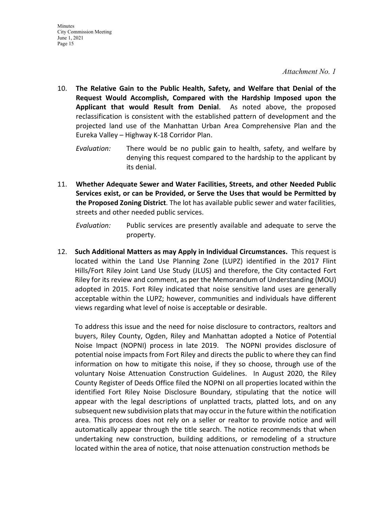- 10. **The Relative Gain to the Public Health, Safety, and Welfare that Denial of the Request Would Accomplish, Compared with the Hardship Imposed upon the Applicant that would Result from Denial**. As noted above, the proposed reclassification is consistent with the established pattern of development and the projected land use of the Manhattan Urban Area Comprehensive Plan and the Eureka Valley – Highway K-18 Corridor Plan.
	- *Evaluation:* There would be no public gain to health, safety, and welfare by denying this request compared to the hardship to the applicant by its denial.
- 11. **Whether Adequate Sewer and Water Facilities, Streets, and other Needed Public Services exist, or can be Provided, or Serve the Uses that would be Permitted by the Proposed Zoning District**. The lot has available public sewer and water facilities, streets and other needed public services.

*Evaluation:* Public services are presently available and adequate to serve the property.

12. **Such Additional Matters as may Apply in Individual Circumstances.** This request is located within the Land Use Planning Zone (LUPZ) identified in the 2017 Flint Hills/Fort Riley Joint Land Use Study (JLUS) and therefore, the City contacted Fort Riley for its review and comment, as per the Memorandum of Understanding (MOU) adopted in 2015. Fort Riley indicated that noise sensitive land uses are generally acceptable within the LUPZ; however, communities and individuals have different views regarding what level of noise is acceptable or desirable.

To address this issue and the need for noise disclosure to contractors, realtors and buyers, Riley County, Ogden, Riley and Manhattan adopted a Notice of Potential Noise Impact (NOPNI) process in late 2019. The NOPNI provides disclosure of potential noise impacts from Fort Riley and directs the public to where they can find information on how to mitigate this noise, if they so choose, through use of the voluntary Noise Attenuation Construction Guidelines. In August 2020, the Riley County Register of Deeds Office filed the NOPNI on all properties located within the identified Fort Riley Noise Disclosure Boundary, stipulating that the notice will appear with the legal descriptions of unplatted tracts, platted lots, and on any subsequent new subdivision plats that may occur in the future within the notification area. This process does not rely on a seller or realtor to provide notice and will automatically appear through the title search. The notice recommends that when undertaking new construction, building additions, or remodeling of a structure located within the area of notice, that noise attenuation construction methods be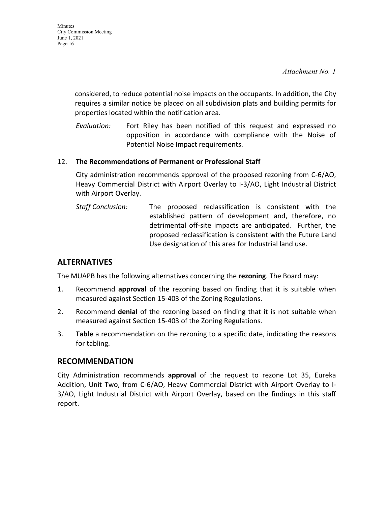considered, to reduce potential noise impacts on the occupants. In addition, the City requires a similar notice be placed on all subdivision plats and building permits for properties located within the notification area.

*Evaluation:* Fort Riley has been notified of this request and expressed no opposition in accordance with compliance with the Noise of Potential Noise Impact requirements.

## 12. **The Recommendations of Permanent or Professional Staff**

City administration recommends approval of the proposed rezoning from C-6/AO, Heavy Commercial District with Airport Overlay to I-3/AO, Light Industrial District with Airport Overlay.

*Staff Conclusion:* The proposed reclassification is consistent with the established pattern of development and, therefore, no detrimental off-site impacts are anticipated. Further, the proposed reclassification is consistent with the Future Land Use designation of this area for Industrial land use.

# **ALTERNATIVES**

The MUAPB has the following alternatives concerning the **rezoning**. The Board may:

- 1. Recommend **approval** of the rezoning based on finding that it is suitable when measured against Section 15-403 of the Zoning Regulations.
- 2. Recommend **denial** of the rezoning based on finding that it is not suitable when measured against Section 15-403 of the Zoning Regulations.
- 3. **Table** a recommendation on the rezoning to a specific date, indicating the reasons for tabling.

# **RECOMMENDATION**

City Administration recommends **approval** of the request to rezone Lot 35, Eureka Addition, Unit Two, from C-6/AO, Heavy Commercial District with Airport Overlay to I-3/AO, Light Industrial District with Airport Overlay, based on the findings in this staff report.